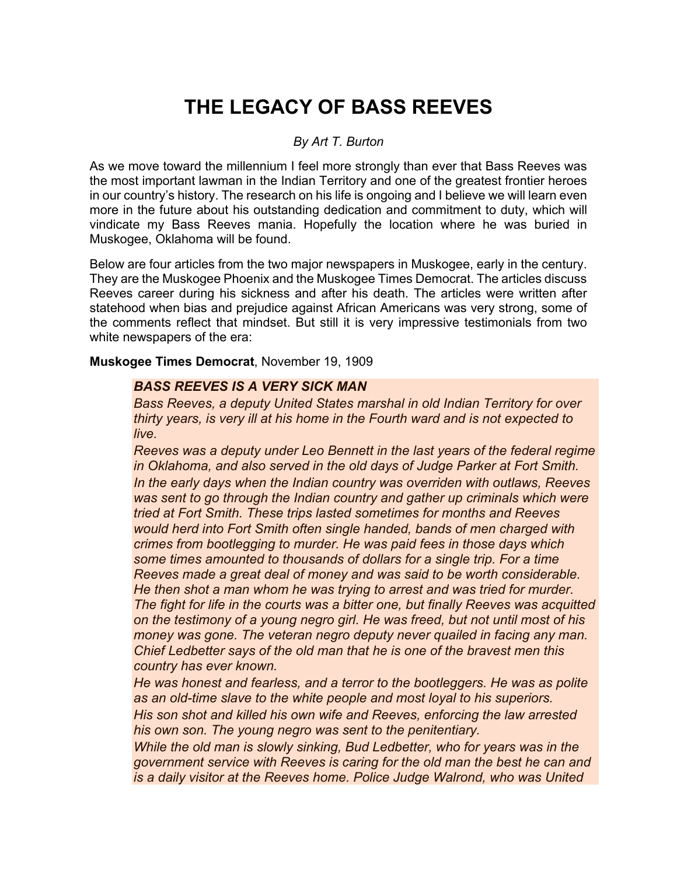# **THE LEGACY OF BASS REEVES**

## *By Art T. Burton*

As we move toward the millennium I feel more strongly than ever that Bass Reeves was the most important lawman in the Indian Territory and one of the greatest frontier heroes in our country's history. The research on his life is ongoing and I believe we will learn even more in the future about his outstanding dedication and commitment to duty, which will vindicate my Bass Reeves mania. Hopefully the location where he was buried in Muskogee, Oklahoma will be found.

Below are four articles from the two major newspapers in Muskogee, early in the century. They are the Muskogee Phoenix and the Muskogee Times Democrat. The articles discuss Reeves career during his sickness and after his death. The articles were written after statehood when bias and prejudice against African Americans was very strong, some of the comments reflect that mindset. But still it is very impressive testimonials from two white newspapers of the era:

**Muskogee Times Democrat**, November 19, 1909

# *BASS REEVES IS A VERY SICK MAN*

*Bass Reeves, a deputy United States marshal in old Indian Territory for over thirty years, is very ill at his home in the Fourth ward and is not expected to live.*

*Reeves was a deputy under Leo Bennett in the last years of the federal regime in Oklahoma, and also served in the old days of Judge Parker at Fort Smith. In the early days when the Indian country was overriden with outlaws, Reeves was sent to go through the Indian country and gather up criminals which were tried at Fort Smith. These trips lasted sometimes for months and Reeves would herd into Fort Smith often single handed, bands of men charged with crimes from bootlegging to murder. He was paid fees in those days which some times amounted to thousands of dollars for a single trip. For a time Reeves made a great deal of money and was said to be worth considerable. He then shot a man whom he was trying to arrest and was tried for murder. The fight for life in the courts was a bitter one, but finally Reeves was acquitted on the testimony of a young negro girl. He was freed, but not until most of his money was gone. The veteran negro deputy never quailed in facing any man. Chief Ledbetter says of the old man that he is one of the bravest men this country has ever known.*

*He was honest and fearless, and a terror to the bootleggers. He was as polite as an old-time slave to the white people and most loyal to his superiors. His son shot and killed his own wife and Reeves, enforcing the law arrested his own son. The young negro was sent to the penitentiary.*

*While the old man is slowly sinking, Bud Ledbetter, who for years was in the government service with Reeves is caring for the old man the best he can and is a daily visitor at the Reeves home. Police Judge Walrond, who was United*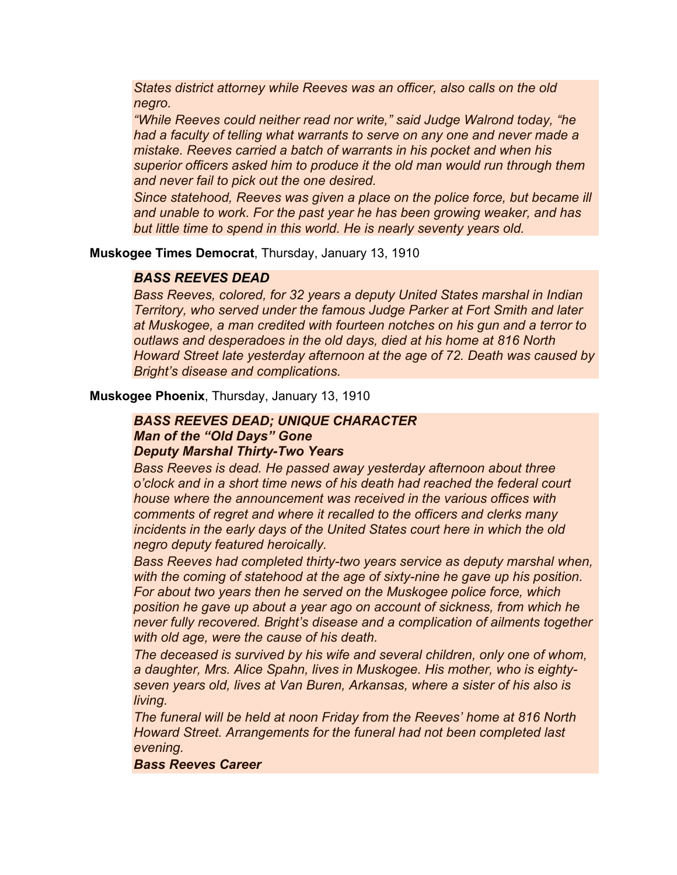*States district attorney while Reeves was an officer, also calls on the old negro.*

*"While Reeves could neither read nor write," said Judge Walrond today, "he had a faculty of telling what warrants to serve on any one and never made a mistake. Reeves carried a batch of warrants in his pocket and when his superior officers asked him to produce it the old man would run through them and never fail to pick out the one desired.*

*Since statehood, Reeves was given a place on the police force, but became ill and unable to work. For the past year he has been growing weaker, and has but little time to spend in this world. He is nearly seventy years old.*

**Muskogee Times Democrat**, Thursday, January 13, 1910

#### *BASS REEVES DEAD*

*Bass Reeves, colored, for 32 years a deputy United States marshal in Indian Territory, who served under the famous Judge Parker at Fort Smith and later at Muskogee, a man credited with fourteen notches on his gun and a terror to outlaws and desperadoes in the old days, died at his home at 816 North Howard Street late yesterday afternoon at the age of 72. Death was caused by Bright's disease and complications.*

**Muskogee Phoenix**, Thursday, January 13, 1910

### *BASS REEVES DEAD; UNIQUE CHARACTER Man of the "Old Days" Gone Deputy Marshal Thirty-Two Years*

*Bass Reeves is dead. He passed away yesterday afternoon about three o'clock and in a short time news of his death had reached the federal court house where the announcement was received in the various offices with comments of regret and where it recalled to the officers and clerks many incidents in the early days of the United States court here in which the old negro deputy featured heroically.*

*Bass Reeves had completed thirty-two years service as deputy marshal when, with the coming of statehood at the age of sixty-nine he gave up his position. For about two years then he served on the Muskogee police force, which position he gave up about a year ago on account of sickness, from which he never fully recovered. Bright's disease and a complication of ailments together with old age, were the cause of his death.*

*The deceased is survived by his wife and several children, only one of whom, a daughter, Mrs. Alice Spahn, lives in Muskogee. His mother, who is eightyseven years old, lives at Van Buren, Arkansas, where a sister of his also is living.*

*The funeral will be held at noon Friday from the Reeves' home at 816 North Howard Street. Arrangements for the funeral had not been completed last evening.*

*Bass Reeves Career*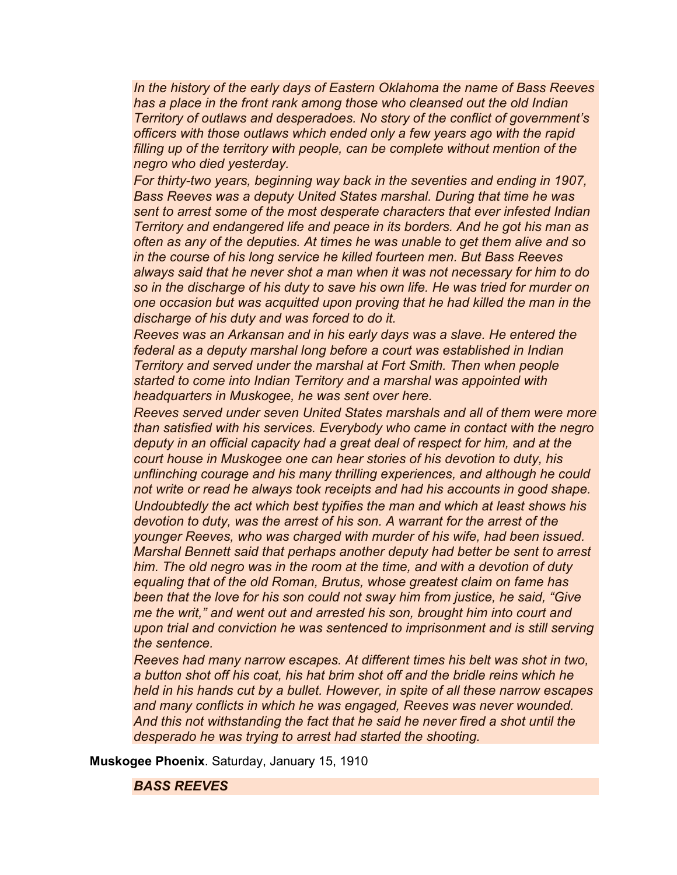*In the history of the early days of Eastern Oklahoma the name of Bass Reeves has a place in the front rank among those who cleansed out the old Indian Territory of outlaws and desperadoes. No story of the conflict of government's officers with those outlaws which ended only a few years ago with the rapid filling up of the territory with people, can be complete without mention of the negro who died yesterday.*

*For thirty-two years, beginning way back in the seventies and ending in 1907, Bass Reeves was a deputy United States marshal. During that time he was sent to arrest some of the most desperate characters that ever infested Indian Territory and endangered life and peace in its borders. And he got his man as often as any of the deputies. At times he was unable to get them alive and so in the course of his long service he killed fourteen men. But Bass Reeves always said that he never shot a man when it was not necessary for him to do so in the discharge of his duty to save his own life. He was tried for murder on one occasion but was acquitted upon proving that he had killed the man in the discharge of his duty and was forced to do it.*

*Reeves was an Arkansan and in his early days was a slave. He entered the federal as a deputy marshal long before a court was established in Indian Territory and served under the marshal at Fort Smith. Then when people started to come into Indian Territory and a marshal was appointed with headquarters in Muskogee, he was sent over here.*

*Reeves served under seven United States marshals and all of them were more than satisfied with his services. Everybody who came in contact with the negro deputy in an official capacity had a great deal of respect for him, and at the court house in Muskogee one can hear stories of his devotion to duty, his unflinching courage and his many thrilling experiences, and although he could not write or read he always took receipts and had his accounts in good shape. Undoubtedly the act which best typifies the man and which at least shows his devotion to duty, was the arrest of his son. A warrant for the arrest of the younger Reeves, who was charged with murder of his wife, had been issued. Marshal Bennett said that perhaps another deputy had better be sent to arrest him. The old negro was in the room at the time, and with a devotion of duty equaling that of the old Roman, Brutus, whose greatest claim on fame has been that the love for his son could not sway him from justice, he said, "Give me the writ," and went out and arrested his son, brought him into court and upon trial and conviction he was sentenced to imprisonment and is still serving the sentence.*

*Reeves had many narrow escapes. At different times his belt was shot in two, a button shot off his coat, his hat brim shot off and the bridle reins which he held in his hands cut by a bullet. However, in spite of all these narrow escapes and many conflicts in which he was engaged, Reeves was never wounded. And this not withstanding the fact that he said he never fired a shot until the desperado he was trying to arrest had started the shooting.*

**Muskogee Phoenix**. Saturday, January 15, 1910

# *BASS REEVES*